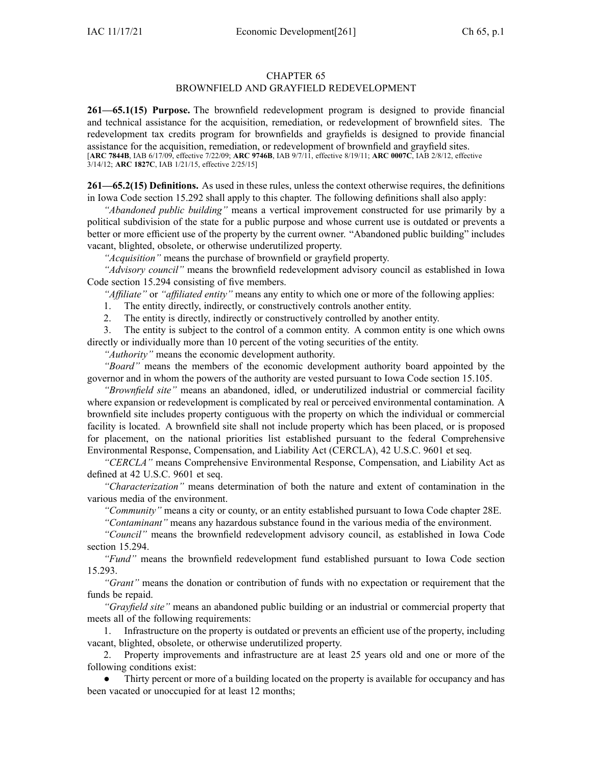# CHAPTER 65

## BROWNFIELD AND GRAYFIELD REDEVELOPMENT

**261—65.1(15) Purpose.** The brownfield redevelopment program is designed to provide financial and technical assistance for the acquisition, remediation, or redevelopment of brownfield sites. The redevelopment tax credits program for brownfields and grayfields is designed to provide financial assistance for the acquisition, remediation, or redevelopment of brownfield and grayfield sites. [**ARC [7844B](https://www.legis.iowa.gov/docs/aco/arc/7844B.pdf)**, IAB 6/17/09, effective 7/22/09; **ARC [9746B](https://www.legis.iowa.gov/docs/aco/arc/9746B.pdf)**, IAB 9/7/11, effective 8/19/11; **ARC [0007C](https://www.legis.iowa.gov/docs/aco/arc/0007C.pdf)**, IAB 2/8/12, effective 3/14/12; **ARC [1827C](https://www.legis.iowa.gov/docs/aco/arc/1827C.pdf)**, IAB 1/21/15, effective 2/25/15]

**261—65.2(15) Definitions.** As used in these rules, unless the context otherwise requires, the definitions in Iowa Code section [15.292](https://www.legis.iowa.gov/docs/ico/section/15.292.pdf) shall apply to this chapter. The following definitions shall also apply:

*"Abandoned public building"* means <sup>a</sup> vertical improvement constructed for use primarily by <sup>a</sup> political subdivision of the state for <sup>a</sup> public purpose and whose current use is outdated or prevents <sup>a</sup> better or more efficient use of the property by the current owner. "Abandoned public building" includes vacant, blighted, obsolete, or otherwise underutilized property.

*"Acquisition"* means the purchase of brownfield or grayfield property.

*"Advisory council"* means the brownfield redevelopment advisory council as established in Iowa Code section [15.294](https://www.legis.iowa.gov/docs/ico/section/15.294.pdf) consisting of five members.

*"Affiliate"* or *"affiliated entity"* means any entity to which one or more of the following applies:

1. The entity directly, indirectly, or constructively controls another entity.

2. The entity is directly, indirectly or constructively controlled by another entity.

3. The entity is subject to the control of <sup>a</sup> common entity. A common entity is one which owns directly or individually more than 10 percen<sup>t</sup> of the voting securities of the entity.

*"Authority"* means the economic development authority.

*"Board"* means the members of the economic development authority board appointed by the governor and in whom the powers of the authority are vested pursuan<sup>t</sup> to Iowa Code section [15.105](https://www.legis.iowa.gov/docs/ico/section/15.105.pdf).

*"Brownfield site"* means an abandoned, idled, or underutilized industrial or commercial facility where expansion or redevelopment is complicated by real or perceived environmental contamination. A brownfield site includes property contiguous with the property on which the individual or commercial facility is located. A brownfield site shall not include property which has been placed, or is proposed for placement, on the national priorities list established pursuan<sup>t</sup> to the federal Comprehensive Environmental Response, Compensation, and Liability Act (CERCLA), 42 U.S.C. 9601 et seq.

*"CERCLA"* means Comprehensive Environmental Response, Compensation, and Liability Act as defined at 42 U.S.C. 9601 et seq.

*"Characterization"* means determination of both the nature and extent of contamination in the various media of the environment.

*"Community"* means <sup>a</sup> city or county, or an entity established pursuan<sup>t</sup> to Iowa Code chapter [28E](https://www.legis.iowa.gov/docs/ico/chapter/28E.pdf). *"Contaminant"* means any hazardous substance found in the various media of the environment.

*"Council"* means the brownfield redevelopment advisory council, as established in Iowa Code

section [15.294](https://www.legis.iowa.gov/docs/ico/section/15.294.pdf).

*"Fund"* means the brownfield redevelopment fund established pursuan<sup>t</sup> to Iowa Code section [15.293](https://www.legis.iowa.gov/docs/ico/section/15.293.pdf).

*"Grant"* means the donation or contribution of funds with no expectation or requirement that the funds be repaid.

*"Grayfield site"* means an abandoned public building or an industrial or commercial property that meets all of the following requirements:

1. Infrastructure on the property is outdated or prevents an efficient use of the property, including vacant, blighted, obsolete, or otherwise underutilized property.

2. Property improvements and infrastructure are at least 25 years old and one or more of the following conditions exist:

● Thirty percen<sup>t</sup> or more of <sup>a</sup> building located on the property is available for occupancy and has been vacated or unoccupied for at least 12 months;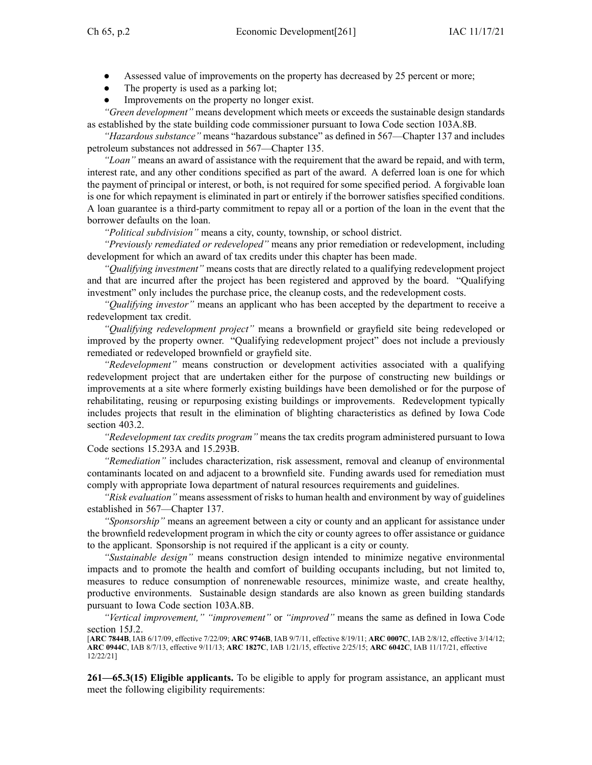- ●Assessed value of improvements on the property has decreased by 25 percen<sup>t</sup> or more;
- $\bullet$ The property is used as <sup>a</sup> parking lot;
- ●Improvements on the property no longer exist.

*"Green development"* means development which meets or exceeds the sustainable design standards as established by the state building code commissioner pursuan<sup>t</sup> to Iowa Code section [103A.8B](https://www.legis.iowa.gov/docs/ico/section/103A.8B.pdf).

*"Hazardous substance"* means "hazardous substance" as defined in [567—Chapter](https://www.legis.iowa.gov/docs/iac/chapter/567.137.pdf) 137 and includes petroleum substances not addressed in [567—Chapter](https://www.legis.iowa.gov/docs/iac/chapter/567.135.pdf) 135.

*"Loan"* means an award of assistance with the requirement that the award be repaid, and with term, interest rate, and any other conditions specified as par<sup>t</sup> of the award. A deferred loan is one for which the paymen<sup>t</sup> of principal or interest, or both, is not required for some specified period. A forgivable loan is one for which repaymen<sup>t</sup> is eliminated in par<sup>t</sup> or entirely if the borrower satisfies specified conditions. A loan guarantee is <sup>a</sup> third-party commitment to repay all or <sup>a</sup> portion of the loan in the event that the borrower defaults on the loan.

*"Political subdivision"* means <sup>a</sup> city, county, township, or school district.

*"Previously remediated or redeveloped"* means any prior remediation or redevelopment, including development for which an award of tax credits under this chapter has been made.

*"Qualifying investment"* means costs that are directly related to <sup>a</sup> qualifying redevelopment project and that are incurred after the project has been registered and approved by the board. "Qualifying investment" only includes the purchase price, the cleanup costs, and the redevelopment costs.

*"Qualifying investor"* means an applicant who has been accepted by the department to receive <sup>a</sup> redevelopment tax credit.

*"Qualifying redevelopment project"* means <sup>a</sup> brownfield or grayfield site being redeveloped or improved by the property owner. "Qualifying redevelopment project" does not include <sup>a</sup> previously remediated or redeveloped brownfield or grayfield site.

*"Redevelopment"* means construction or development activities associated with <sup>a</sup> qualifying redevelopment project that are undertaken either for the purpose of constructing new buildings or improvements at <sup>a</sup> site where formerly existing buildings have been demolished or for the purpose of rehabilitating, reusing or repurposing existing buildings or improvements. Redevelopment typically includes projects that result in the elimination of blighting characteristics as defined by Iowa Code section [403.2](https://www.legis.iowa.gov/docs/ico/section/403.2.pdf).

*"Redevelopment tax credits program"* means the tax credits program administered pursuan<sup>t</sup> to Iowa Code sections [15.293A](https://www.legis.iowa.gov/docs/ico/section/15.293A.pdf) and [15.293B](https://www.legis.iowa.gov/docs/ico/section/15.293B.pdf).

*"Remediation"* includes characterization, risk assessment, removal and cleanup of environmental contaminants located on and adjacent to <sup>a</sup> brownfield site. Funding awards used for remediation must comply with appropriate Iowa department of natural resources requirements and guidelines.

*"Risk evaluation"* means assessment of risks to human health and environment by way of guidelines established in [567—Chapter](https://www.legis.iowa.gov/docs/iac/chapter/567.137.pdf) 137.

*"Sponsorship"* means an agreemen<sup>t</sup> between <sup>a</sup> city or county and an applicant for assistance under the brownfield redevelopment program in which the city or county agrees to offer assistance or guidance to the applicant. Sponsorship is not required if the applicant is <sup>a</sup> city or county.

*"Sustainable design"* means construction design intended to minimize negative environmental impacts and to promote the health and comfort of building occupants including, but not limited to, measures to reduce consumption of nonrenewable resources, minimize waste, and create healthy, productive environments. Sustainable design standards are also known as green building standards pursuan<sup>t</sup> to Iowa Code section [103A.8B](https://www.legis.iowa.gov/docs/ico/section/103A.8B.pdf).

*"Vertical improvement," "improvement"* or *"improved"* means the same as defined in Iowa Code section [15J.2](https://www.legis.iowa.gov/docs/ico/section/15J.2.pdf).

[**ARC [7844B](https://www.legis.iowa.gov/docs/aco/arc/7844B.pdf)**, IAB 6/17/09, effective 7/22/09; **ARC [9746B](https://www.legis.iowa.gov/docs/aco/arc/9746B.pdf)**, IAB 9/7/11, effective 8/19/11; **ARC [0007C](https://www.legis.iowa.gov/docs/aco/arc/0007C.pdf)**, IAB 2/8/12, effective 3/14/12; **ARC [0944C](https://www.legis.iowa.gov/docs/aco/arc/0944C.pdf)**, IAB 8/7/13, effective 9/11/13; **ARC [1827C](https://www.legis.iowa.gov/docs/aco/arc/1827C.pdf)**, IAB 1/21/15, effective 2/25/15; **ARC [6042C](https://www.legis.iowa.gov/docs/aco/arc/6042C.pdf)**, IAB 11/17/21, effective 12/22/21]

**261—65.3(15) Eligible applicants.** To be eligible to apply for program assistance, an applicant must meet the following eligibility requirements: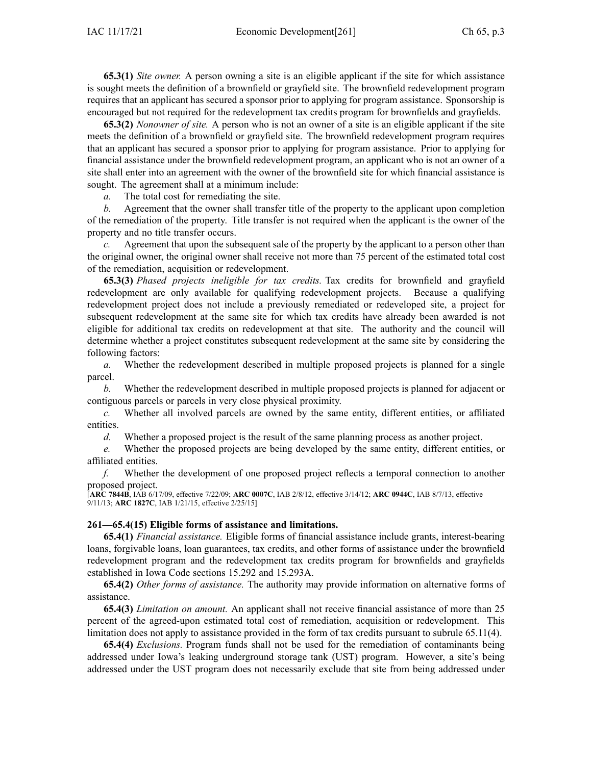**65.3(1)** *Site owner.* A person owning <sup>a</sup> site is an eligible applicant if the site for which assistance is sought meets the definition of <sup>a</sup> brownfield or grayfield site. The brownfield redevelopment program requires that an applicant has secured <sup>a</sup> sponsor prior to applying for program assistance. Sponsorship is encouraged but not required for the redevelopment tax credits program for brownfields and grayfields.

**65.3(2)** *Nonowner of site.* A person who is not an owner of <sup>a</sup> site is an eligible applicant if the site meets the definition of <sup>a</sup> brownfield or grayfield site. The brownfield redevelopment program requires that an applicant has secured <sup>a</sup> sponsor prior to applying for program assistance. Prior to applying for financial assistance under the brownfield redevelopment program, an applicant who is not an owner of <sup>a</sup> site shall enter into an agreemen<sup>t</sup> with the owner of the brownfield site for which financial assistance is sought. The agreemen<sup>t</sup> shall at <sup>a</sup> minimum include:

*a.* The total cost for remediating the site.

*b.* Agreement that the owner shall transfer title of the property to the applicant upon completion of the remediation of the property. Title transfer is not required when the applicant is the owner of the property and no title transfer occurs.

*c.* Agreement that upon the subsequent sale of the property by the applicant to <sup>a</sup> person other than the original owner, the original owner shall receive not more than 75 percen<sup>t</sup> of the estimated total cost of the remediation, acquisition or redevelopment.

**65.3(3)** *Phased projects ineligible for tax credits.* Tax credits for brownfield and grayfield redevelopment are only available for qualifying redevelopment projects. Because <sup>a</sup> qualifying redevelopment project does not include <sup>a</sup> previously remediated or redeveloped site, <sup>a</sup> project for subsequent redevelopment at the same site for which tax credits have already been awarded is not eligible for additional tax credits on redevelopment at that site. The authority and the council will determine whether <sup>a</sup> project constitutes subsequent redevelopment at the same site by considering the following factors:

*a.* Whether the redevelopment described in multiple proposed projects is planned for <sup>a</sup> single parcel.

*b.* Whether the redevelopment described in multiple proposed projects is planned for adjacent or contiguous parcels or parcels in very close physical proximity.

*c.* Whether all involved parcels are owned by the same entity, different entities, or affiliated entities.

*d.* Whether <sup>a</sup> proposed project is the result of the same planning process as another project.

*e.* Whether the proposed projects are being developed by the same entity, different entities, or affiliated entities.

*f.* Whether the development of one proposed project reflects <sup>a</sup> temporal connection to another proposed project.

[**ARC [7844B](https://www.legis.iowa.gov/docs/aco/arc/7844B.pdf)**, IAB 6/17/09, effective 7/22/09; **ARC [0007C](https://www.legis.iowa.gov/docs/aco/arc/0007C.pdf)**, IAB 2/8/12, effective 3/14/12; **ARC [0944C](https://www.legis.iowa.gov/docs/aco/arc/0944C.pdf)**, IAB 8/7/13, effective 9/11/13; **ARC [1827C](https://www.legis.iowa.gov/docs/aco/arc/1827C.pdf)**, IAB 1/21/15, effective 2/25/15]

## **261—65.4(15) Eligible forms of assistance and limitations.**

**65.4(1)** *Financial assistance.* Eligible forms of financial assistance include grants, interest-bearing loans, forgivable loans, loan guarantees, tax credits, and other forms of assistance under the brownfield redevelopment program and the redevelopment tax credits program for brownfields and grayfields established in Iowa Code sections [15.292](https://www.legis.iowa.gov/docs/ico/section/15.292.pdf) and [15.293A](https://www.legis.iowa.gov/docs/ico/section/15.293A.pdf).

**65.4(2)** *Other forms of assistance.* The authority may provide information on alternative forms of assistance.

**65.4(3)** *Limitation on amount.* An applicant shall not receive financial assistance of more than 25 percen<sup>t</sup> of the agreed-upon estimated total cost of remediation, acquisition or redevelopment. This limitation does not apply to assistance provided in the form of tax credits pursuan<sup>t</sup> to subrule [65.11\(4\)](https://www.legis.iowa.gov/docs/iac/rule/261.65.11.pdf).

**65.4(4)** *Exclusions.* Program funds shall not be used for the remediation of contaminants being addressed under Iowa's leaking underground storage tank (UST) program. However, <sup>a</sup> site's being addressed under the UST program does not necessarily exclude that site from being addressed under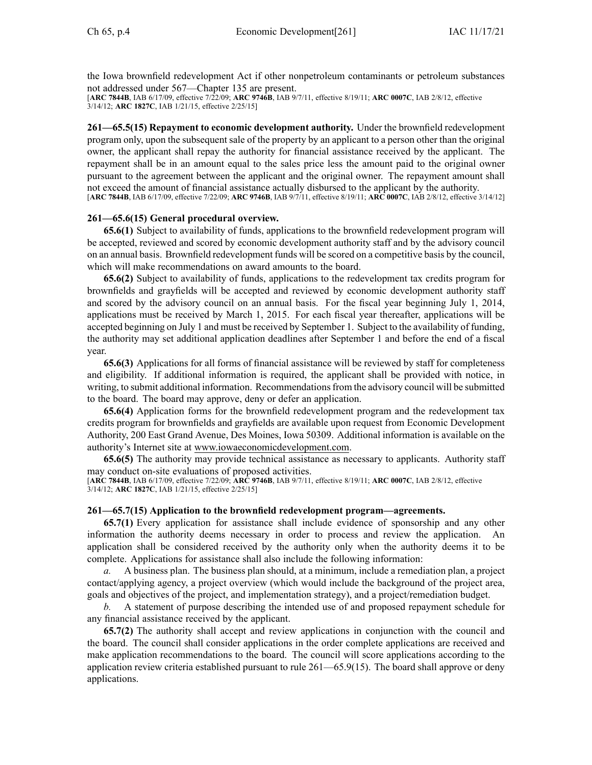the Iowa brownfield redevelopment Act if other nonpetroleum contaminants or petroleum substances not addressed under [567—Chapter](https://www.legis.iowa.gov/docs/iac/chapter/567.135.pdf) 135 are present.

[**ARC [7844B](https://www.legis.iowa.gov/docs/aco/arc/7844B.pdf)**, IAB 6/17/09, effective 7/22/09; **ARC [9746B](https://www.legis.iowa.gov/docs/aco/arc/9746B.pdf)**, IAB 9/7/11, effective 8/19/11; **ARC [0007C](https://www.legis.iowa.gov/docs/aco/arc/0007C.pdf)**, IAB 2/8/12, effective 3/14/12; **ARC [1827C](https://www.legis.iowa.gov/docs/aco/arc/1827C.pdf)**, IAB 1/21/15, effective 2/25/15]

**261—65.5(15) Repayment to economic development authority.** Under the brownfield redevelopment program only, upon the subsequent sale of the property by an applicant to <sup>a</sup> person other than the original owner, the applicant shall repay the authority for financial assistance received by the applicant. The repaymen<sup>t</sup> shall be in an amount equal to the sales price less the amount paid to the original owner pursuan<sup>t</sup> to the agreemen<sup>t</sup> between the applicant and the original owner. The repaymen<sup>t</sup> amount shall not exceed the amount of financial assistance actually disbursed to the applicant by the authority. [**ARC [7844B](https://www.legis.iowa.gov/docs/aco/arc/7844B.pdf)**, IAB 6/17/09, effective 7/22/09; **ARC [9746B](https://www.legis.iowa.gov/docs/aco/arc/9746B.pdf)**, IAB 9/7/11, effective 8/19/11; **ARC [0007C](https://www.legis.iowa.gov/docs/aco/arc/0007C.pdf)**, IAB 2/8/12, effective 3/14/12]

#### **261—65.6(15) General procedural overview.**

**65.6(1)** Subject to availability of funds, applications to the brownfield redevelopment program will be accepted, reviewed and scored by economic development authority staff and by the advisory council on an annual basis. Brownfield redevelopment funds will be scored on <sup>a</sup> competitive basis by the council, which will make recommendations on award amounts to the board.

**65.6(2)** Subject to availability of funds, applications to the redevelopment tax credits program for brownfields and grayfields will be accepted and reviewed by economic development authority staff and scored by the advisory council on an annual basis. For the fiscal year beginning July 1, 2014, applications must be received by March 1, 2015. For each fiscal year thereafter, applications will be accepted beginning on July 1 and must be received by September 1. Subject to the availability of funding, the authority may set additional application deadlines after September 1 and before the end of <sup>a</sup> fiscal year.

**65.6(3)** Applications for all forms of financial assistance will be reviewed by staff for completeness and eligibility. If additional information is required, the applicant shall be provided with notice, in writing, to submit additional information. Recommendations from the advisory council will be submitted to the board. The board may approve, deny or defer an application.

**65.6(4)** Application forms for the brownfield redevelopment program and the redevelopment tax credits program for brownfields and grayfields are available upon reques<sup>t</sup> from Economic Development Authority, 200 East Grand Avenue, Des Moines, Iowa 50309. Additional information is available on the authority's Internet site at [www.iowaeconomicdevelopment.com](http://www.iowaeconomicdevelopment.com).

**65.6(5)** The authority may provide technical assistance as necessary to applicants. Authority staff may conduct on-site evaluations of proposed activities.

[**ARC [7844B](https://www.legis.iowa.gov/docs/aco/arc/7844B.pdf)**, IAB 6/17/09, effective 7/22/09; **ARC [9746B](https://www.legis.iowa.gov/docs/aco/arc/9746B.pdf)**, IAB 9/7/11, effective 8/19/11; **ARC [0007C](https://www.legis.iowa.gov/docs/aco/arc/0007C.pdf)**, IAB 2/8/12, effective 3/14/12; **ARC [1827C](https://www.legis.iowa.gov/docs/aco/arc/1827C.pdf)**, IAB 1/21/15, effective 2/25/15]

#### **261—65.7(15) Application to the brownfield redevelopment program—agreements.**

**65.7(1)** Every application for assistance shall include evidence of sponsorship and any other information the authority deems necessary in order to process and review the application. An application shall be considered received by the authority only when the authority deems it to be complete. Applications for assistance shall also include the following information:

*a.* A business plan. The business plan should, at <sup>a</sup> minimum, include <sup>a</sup> remediation plan, <sup>a</sup> project contact/applying agency, <sup>a</sup> project overview (which would include the background of the project area, goals and objectives of the project, and implementation strategy), and <sup>a</sup> project/remediation budget.

*b.* A statement of purpose describing the intended use of and proposed repaymen<sup>t</sup> schedule for any financial assistance received by the applicant.

**65.7(2)** The authority shall accep<sup>t</sup> and review applications in conjunction with the council and the board. The council shall consider applications in the order complete applications are received and make application recommendations to the board. The council will score applications according to the application review criteria established pursuan<sup>t</sup> to rule [261—65.9](https://www.legis.iowa.gov/docs/iac/rule/261.65.9.pdf)(15). The board shall approve or deny applications.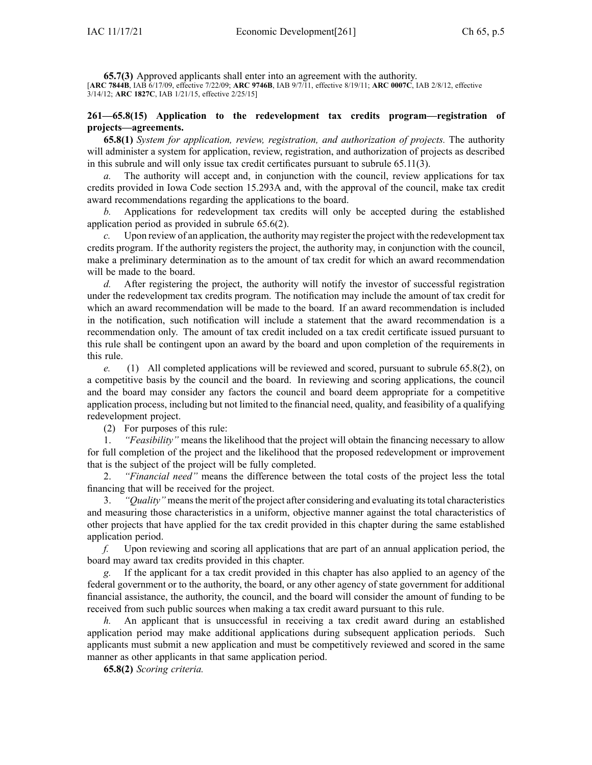**65.7(3)** Approved applicants shall enter into an agreemen<sup>t</sup> with the authority. [**ARC [7844B](https://www.legis.iowa.gov/docs/aco/arc/7844B.pdf)**, IAB 6/17/09, effective 7/22/09; **ARC [9746B](https://www.legis.iowa.gov/docs/aco/arc/9746B.pdf)**, IAB 9/7/11, effective 8/19/11; **ARC [0007C](https://www.legis.iowa.gov/docs/aco/arc/0007C.pdf)**, IAB 2/8/12, effective 3/14/12; **ARC [1827C](https://www.legis.iowa.gov/docs/aco/arc/1827C.pdf)**, IAB 1/21/15, effective 2/25/15]

## **261—65.8(15) Application to the redevelopment tax credits program—registration of projects—agreements.**

**65.8(1)** *System for application, review, registration, and authorization of projects.* The authority will administer <sup>a</sup> system for application, review, registration, and authorization of projects as described in this subrule and will only issue tax credit certificates pursuan<sup>t</sup> to subrule [65.11\(3\)](https://www.legis.iowa.gov/docs/iac/rule/261.65.11.pdf).

*a.* The authority will accep<sup>t</sup> and, in conjunction with the council, review applications for tax credits provided in Iowa Code section [15.293A](https://www.legis.iowa.gov/docs/ico/section/15.293A.pdf) and, with the approval of the council, make tax credit award recommendations regarding the applications to the board.

*b.* Applications for redevelopment tax credits will only be accepted during the established application period as provided in subrule [65.6\(2\)](https://www.legis.iowa.gov/docs/iac/rule/261.65.6.pdf).

*c.* Upon review of an application, the authority may register the project with the redevelopment tax credits program. If the authority registers the project, the authority may, in conjunction with the council, make <sup>a</sup> preliminary determination as to the amount of tax credit for which an award recommendation will be made to the board.

*d.* After registering the project, the authority will notify the investor of successful registration under the redevelopment tax credits program. The notification may include the amount of tax credit for which an award recommendation will be made to the board. If an award recommendation is included in the notification, such notification will include <sup>a</sup> statement that the award recommendation is <sup>a</sup> recommendation only. The amount of tax credit included on <sup>a</sup> tax credit certificate issued pursuan<sup>t</sup> to this rule shall be contingent upon an award by the board and upon completion of the requirements in this rule.

*e.* (1) All completed applications will be reviewed and scored, pursuan<sup>t</sup> to subrule [65.8\(2\)](https://www.legis.iowa.gov/docs/iac/rule/261.65.8.pdf), on <sup>a</sup> competitive basis by the council and the board. In reviewing and scoring applications, the council and the board may consider any factors the council and board deem appropriate for <sup>a</sup> competitive application process, including but not limited to the financial need, quality, and feasibility of <sup>a</sup> qualifying redevelopment project.

(2) For purposes of this rule:

1. *"Feasibility"* means the likelihood that the project will obtain the financing necessary to allow for full completion of the project and the likelihood that the proposed redevelopment or improvement that is the subject of the project will be fully completed.

2. *"Financial need"* means the difference between the total costs of the project less the total financing that will be received for the project.

3. *"Quality"* meansthe merit of the project after considering and evaluating itstotal characteristics and measuring those characteristics in <sup>a</sup> uniform, objective manner against the total characteristics of other projects that have applied for the tax credit provided in this chapter during the same established application period.

*f.* Upon reviewing and scoring all applications that are par<sup>t</sup> of an annual application period, the board may award tax credits provided in this chapter.

*g.* If the applicant for <sup>a</sup> tax credit provided in this chapter has also applied to an agency of the federal governmen<sup>t</sup> or to the authority, the board, or any other agency of state governmen<sup>t</sup> for additional financial assistance, the authority, the council, and the board will consider the amount of funding to be received from such public sources when making <sup>a</sup> tax credit award pursuan<sup>t</sup> to this rule.

*h.* An applicant that is unsuccessful in receiving <sup>a</sup> tax credit award during an established application period may make additional applications during subsequent application periods. Such applicants must submit <sup>a</sup> new application and must be competitively reviewed and scored in the same manner as other applicants in that same application period.

**65.8(2)** *Scoring criteria.*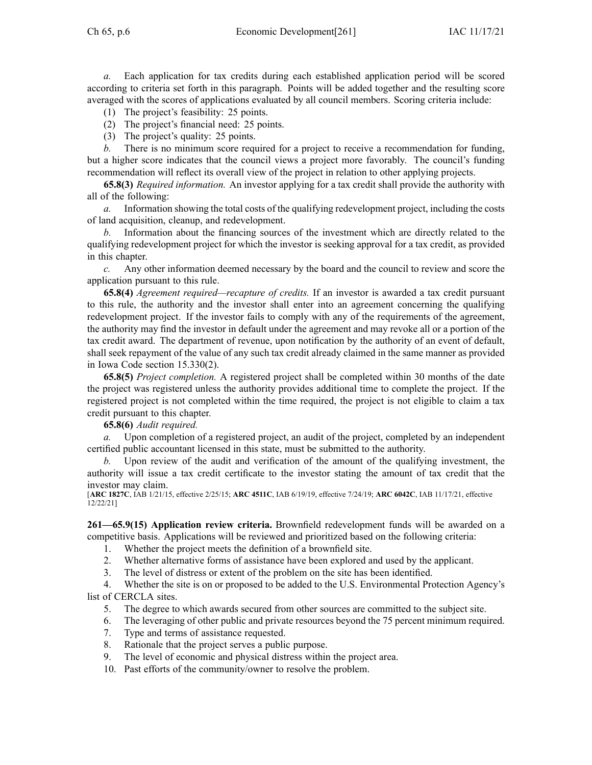*a.* Each application for tax credits during each established application period will be scored according to criteria set forth in this paragraph. Points will be added together and the resulting score averaged with the scores of applications evaluated by all council members. Scoring criteria include:

- (1) The project's feasibility: 25 points.
- (2) The project's financial need: 25 points.
- (3) The project's quality: 25 points.

*b.* There is no minimum score required for <sup>a</sup> project to receive <sup>a</sup> recommendation for funding, but <sup>a</sup> higher score indicates that the council views <sup>a</sup> project more favorably. The council's funding recommendation will reflect its overall view of the project in relation to other applying projects.

**65.8(3)** *Required information.* An investor applying for <sup>a</sup> tax credit shall provide the authority with all of the following:

*a.* Information showing the total costs of the qualifying redevelopment project, including the costs of land acquisition, cleanup, and redevelopment.

*b.* Information about the financing sources of the investment which are directly related to the qualifying redevelopment project for which the investor is seeking approval for <sup>a</sup> tax credit, as provided in this chapter.

*c.* Any other information deemed necessary by the board and the council to review and score the application pursuan<sup>t</sup> to this rule.

**65.8(4)** *Agreement required—recapture of credits.* If an investor is awarded <sup>a</sup> tax credit pursuan<sup>t</sup> to this rule, the authority and the investor shall enter into an agreemen<sup>t</sup> concerning the qualifying redevelopment project. If the investor fails to comply with any of the requirements of the agreement, the authority may find the investor in default under the agreemen<sup>t</sup> and may revoke all or <sup>a</sup> portion of the tax credit award. The department of revenue, upon notification by the authority of an event of default, shall seek repaymen<sup>t</sup> of the value of any such tax credit already claimed in the same manner as provided in Iowa Code section [15.330\(2\)](https://www.legis.iowa.gov/docs/ico/section/15.330.pdf).

**65.8(5)** *Project completion.* A registered project shall be completed within 30 months of the date the project was registered unless the authority provides additional time to complete the project. If the registered project is not completed within the time required, the project is not eligible to claim <sup>a</sup> tax credit pursuan<sup>t</sup> to this chapter.

**65.8(6)** *Audit required.*

*a.* Upon completion of <sup>a</sup> registered project, an audit of the project, completed by an independent certified public accountant licensed in this state, must be submitted to the authority.

Upon review of the audit and verification of the amount of the qualifying investment, the authority will issue <sup>a</sup> tax credit certificate to the investor stating the amount of tax credit that the investor may claim.

[**ARC [1827C](https://www.legis.iowa.gov/docs/aco/arc/1827C.pdf)**, IAB 1/21/15, effective 2/25/15; **ARC [4511C](https://www.legis.iowa.gov/docs/aco/arc/4511C.pdf)**, IAB 6/19/19, effective 7/24/19; **ARC [6042C](https://www.legis.iowa.gov/docs/aco/arc/6042C.pdf)**, IAB 11/17/21, effective 12/22/21]

**261—65.9(15) Application review criteria.** Brownfield redevelopment funds will be awarded on <sup>a</sup> competitive basis. Applications will be reviewed and prioritized based on the following criteria:

- 1. Whether the project meets the definition of <sup>a</sup> brownfield site.
- 2. Whether alternative forms of assistance have been explored and used by the applicant.
- 3. The level of distress or extent of the problem on the site has been identified.

4. Whether the site is on or proposed to be added to the U.S. Environmental Protection Agency's list of CERCLA sites.

- 5. The degree to which awards secured from other sources are committed to the subject site.
- 6. The leveraging of other public and private resources beyond the 75 percen<sup>t</sup> minimum required.
- 7. Type and terms of assistance requested.
- 8. Rationale that the project serves <sup>a</sup> public purpose.
- 9. The level of economic and physical distress within the project area.
- 10. Past efforts of the community/owner to resolve the problem.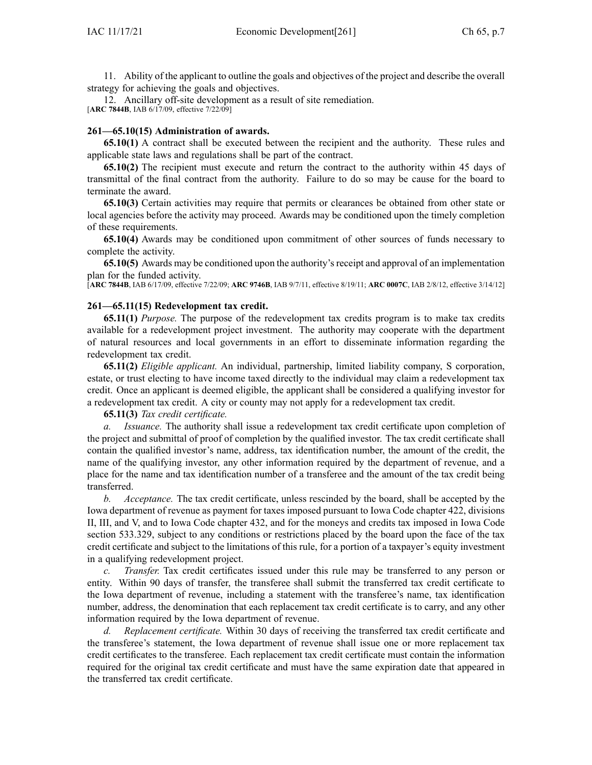11. Ability of the applicant to outline the goals and objectives of the project and describe the overall strategy for achieving the goals and objectives.

12. Ancillary off-site development as <sup>a</sup> result of site remediation. [**ARC [7844B](https://www.legis.iowa.gov/docs/aco/arc/7844B.pdf)**, IAB 6/17/09, effective 7/22/09]

#### **261—65.10(15) Administration of awards.**

**65.10(1)** A contract shall be executed between the recipient and the authority. These rules and applicable state laws and regulations shall be par<sup>t</sup> of the contract.

**65.10(2)** The recipient must execute and return the contract to the authority within 45 days of transmittal of the final contract from the authority. Failure to do so may be cause for the board to terminate the award.

**65.10(3)** Certain activities may require that permits or clearances be obtained from other state or local agencies before the activity may proceed. Awards may be conditioned upon the timely completion of these requirements.

**65.10(4)** Awards may be conditioned upon commitment of other sources of funds necessary to complete the activity.

**65.10(5)** Awards may be conditioned upon the authority's receipt and approval of an implementation plan for the funded activity.

[**ARC [7844B](https://www.legis.iowa.gov/docs/aco/arc/7844B.pdf)**, IAB 6/17/09, effective 7/22/09; **ARC [9746B](https://www.legis.iowa.gov/docs/aco/arc/9746B.pdf)**, IAB 9/7/11, effective 8/19/11; **ARC [0007C](https://www.legis.iowa.gov/docs/aco/arc/0007C.pdf)**, IAB 2/8/12, effective 3/14/12]

#### **261—65.11(15) Redevelopment tax credit.**

**65.11(1)** *Purpose.* The purpose of the redevelopment tax credits program is to make tax credits available for <sup>a</sup> redevelopment project investment. The authority may cooperate with the department of natural resources and local governments in an effort to disseminate information regarding the redevelopment tax credit.

**65.11(2)** *Eligible applicant.* An individual, partnership, limited liability company, S corporation, estate, or trust electing to have income taxed directly to the individual may claim <sup>a</sup> redevelopment tax credit. Once an applicant is deemed eligible, the applicant shall be considered <sup>a</sup> qualifying investor for <sup>a</sup> redevelopment tax credit. A city or county may not apply for <sup>a</sup> redevelopment tax credit.

#### **65.11(3)** *Tax credit certificate.*

*a. Issuance.* The authority shall issue <sup>a</sup> redevelopment tax credit certificate upon completion of the project and submittal of proof of completion by the qualified investor. The tax credit certificate shall contain the qualified investor's name, address, tax identification number, the amount of the credit, the name of the qualifying investor, any other information required by the department of revenue, and <sup>a</sup> place for the name and tax identification number of <sup>a</sup> transferee and the amount of the tax credit being transferred.

*b. Acceptance.* The tax credit certificate, unless rescinded by the board, shall be accepted by the Iowa department of revenue as paymen<sup>t</sup> for taxes imposed pursuan<sup>t</sup> to Iowa Code chapter [422](https://www.legis.iowa.gov/docs/ico/chapter/422.pdf), divisions II, III, and V, and to Iowa Code chapter [432](https://www.legis.iowa.gov/docs/ico/chapter/432.pdf), and for the moneys and credits tax imposed in Iowa Code section [533.329](https://www.legis.iowa.gov/docs/ico/section/533.329.pdf), subject to any conditions or restrictions placed by the board upon the face of the tax credit certificate and subject to the limitations of this rule, for <sup>a</sup> portion of <sup>a</sup> taxpayer's equity investment in <sup>a</sup> qualifying redevelopment project.

*c. Transfer.* Tax credit certificates issued under this rule may be transferred to any person or entity. Within 90 days of transfer, the transferee shall submit the transferred tax credit certificate to the Iowa department of revenue, including <sup>a</sup> statement with the transferee's name, tax identification number, address, the denomination that each replacement tax credit certificate is to carry, and any other information required by the Iowa department of revenue.

*d. Replacement certificate.* Within 30 days of receiving the transferred tax credit certificate and the transferee's statement, the Iowa department of revenue shall issue one or more replacement tax credit certificates to the transferee. Each replacement tax credit certificate must contain the information required for the original tax credit certificate and must have the same expiration date that appeared in the transferred tax credit certificate.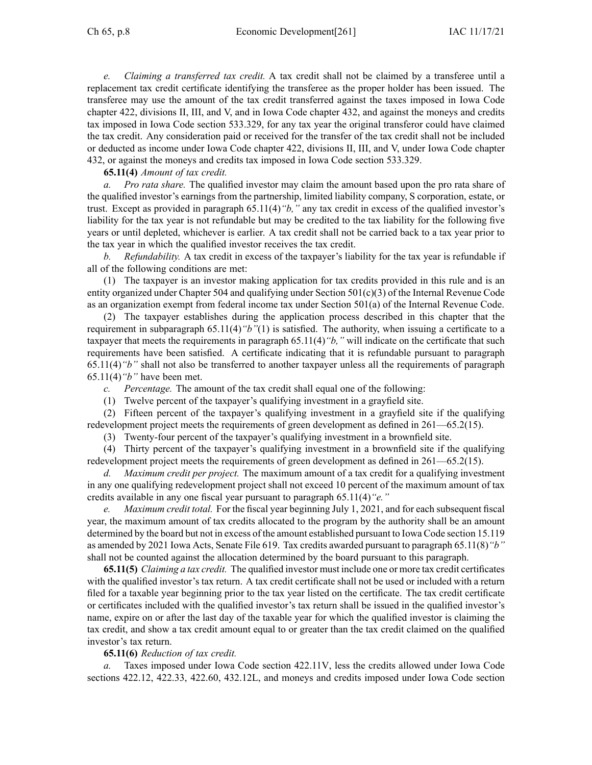*e. Claiming <sup>a</sup> transferred tax credit.* A tax credit shall not be claimed by <sup>a</sup> transferee until <sup>a</sup> replacement tax credit certificate identifying the transferee as the proper holder has been issued. The transferee may use the amount of the tax credit transferred against the taxes imposed in Iowa Code chapter [422](https://www.legis.iowa.gov/docs/ico/chapter/422.pdf), divisions II, III, and V, and in Iowa Code chapter [432](https://www.legis.iowa.gov/docs/ico/chapter/432.pdf), and against the moneys and credits tax imposed in Iowa Code section [533.329](https://www.legis.iowa.gov/docs/ico/section/533.329.pdf), for any tax year the original transferor could have claimed the tax credit. Any consideration paid or received for the transfer of the tax credit shall not be included or deducted as income under Iowa Code chapter [422](https://www.legis.iowa.gov/docs/ico/chapter/422.pdf), divisions II, III, and V, under Iowa Code chapter [432](https://www.legis.iowa.gov/docs/ico/chapter/432.pdf), or against the moneys and credits tax imposed in Iowa Code section [533.329](https://www.legis.iowa.gov/docs/ico/section/533.329.pdf).

**65.11(4)** *Amount of tax credit.*

*a. Pro rata share.* The qualified investor may claim the amount based upon the pro rata share of the qualified investor's earnings from the partnership, limited liability company, S corporation, estate, or trust. Except as provided in paragraph [65.11\(4\)](https://www.legis.iowa.gov/docs/iac/rule/261.65.11.pdf)*"b,"* any tax credit in excess of the qualified investor's liability for the tax year is not refundable but may be credited to the tax liability for the following five years or until depleted, whichever is earlier. A tax credit shall not be carried back to <sup>a</sup> tax year prior to the tax year in which the qualified investor receives the tax credit.

*Refundability.* A tax credit in excess of the taxpayer's liability for the tax year is refundable if all of the following conditions are met:

(1) The taxpayer is an investor making application for tax credits provided in this rule and is an entity organized under Chapter [504](https://www.legis.iowa.gov/docs/ico/chapter/504.pdf) and qualifying under Section 501(c)(3) of the Internal Revenue Code as an organization exemp<sup>t</sup> from federal income tax under Section 501(a) of the Internal Revenue Code.

(2) The taxpayer establishes during the application process described in this chapter that the requirement in subparagraph [65.11\(4\)](https://www.legis.iowa.gov/docs/iac/rule/261.65.11.pdf)*"b"*(1) is satisfied. The authority, when issuing <sup>a</sup> certificate to <sup>a</sup> taxpayer that meets the requirements in paragraph [65.11\(4\)](https://www.legis.iowa.gov/docs/iac/rule/261.65.11.pdf)*"b,"* will indicate on the certificate that such requirements have been satisfied. A certificate indicating that it is refundable pursuan<sup>t</sup> to paragraph [65.11\(4\)](https://www.legis.iowa.gov/docs/iac/rule/261.65.11.pdf)*"b"* shall not also be transferred to another taxpayer unless all the requirements of paragraph [65.11\(4\)](https://www.legis.iowa.gov/docs/iac/rule/261.65.11.pdf)*"b"* have been met.

*c. Percentage.* The amount of the tax credit shall equal one of the following:

(1) Twelve percen<sup>t</sup> of the taxpayer's qualifying investment in <sup>a</sup> grayfield site.

(2) Fifteen percen<sup>t</sup> of the taxpayer's qualifying investment in <sup>a</sup> grayfield site if the qualifying redevelopment project meets the requirements of green development as defined in [261—65.2\(](https://www.legis.iowa.gov/docs/iac/rule/261.65.2.pdf)15).

(3) Twenty-four percen<sup>t</sup> of the taxpayer's qualifying investment in <sup>a</sup> brownfield site.

(4) Thirty percen<sup>t</sup> of the taxpayer's qualifying investment in <sup>a</sup> brownfield site if the qualifying redevelopment project meets the requirements of green development as defined in [261—65.2\(](https://www.legis.iowa.gov/docs/iac/rule/261.65.2.pdf)15).

*d. Maximum credit per project.* The maximum amount of <sup>a</sup> tax credit for <sup>a</sup> qualifying investment in any one qualifying redevelopment project shall not exceed 10 percen<sup>t</sup> of the maximum amount of tax credits available in any one fiscal year pursuan<sup>t</sup> to paragraph [65.11\(4\)](https://www.legis.iowa.gov/docs/iac/rule/261.65.11.pdf)*"e."*

*Maximum credit total.* For the fiscal year beginning July 1, 2021, and for each subsequent fiscal year, the maximum amount of tax credits allocated to the program by the authority shall be an amount determined by the board but not in excess of the amount established pursuan<sup>t</sup> to Iowa Code section [15.119](https://www.legis.iowa.gov/docs/ico/section/15.119.pdf) as amended by 2021 Iowa Acts, Senate File 619. Tax credits awarded pursuan<sup>t</sup> to paragraph [65.11\(8\)](https://www.legis.iowa.gov/docs/iac/rule/261.65.11.pdf)*"b"* shall not be counted against the allocation determined by the board pursuan<sup>t</sup> to this paragraph.

**65.11(5)** *Claiming <sup>a</sup> tax credit.* The qualified investor must include one or more tax credit certificates with the qualified investor's tax return. A tax credit certificate shall not be used or included with <sup>a</sup> return filed for <sup>a</sup> taxable year beginning prior to the tax year listed on the certificate. The tax credit certificate or certificates included with the qualified investor's tax return shall be issued in the qualified investor's name, expire on or after the last day of the taxable year for which the qualified investor is claiming the tax credit, and show <sup>a</sup> tax credit amount equal to or greater than the tax credit claimed on the qualified investor's tax return.

## **65.11(6)** *Reduction of tax credit.*

*a.* Taxes imposed under Iowa Code section [422.11V](https://www.legis.iowa.gov/docs/ico/section/422.11V.pdf), less the credits allowed under Iowa Code sections [422.12](https://www.legis.iowa.gov/docs/ico/section/422.12.pdf), [422.33](https://www.legis.iowa.gov/docs/ico/section/422.33.pdf), [422.60](https://www.legis.iowa.gov/docs/ico/section/422.60.pdf), [432.12L](https://www.legis.iowa.gov/docs/ico/section/432.12L.pdf), and moneys and credits imposed under Iowa Code section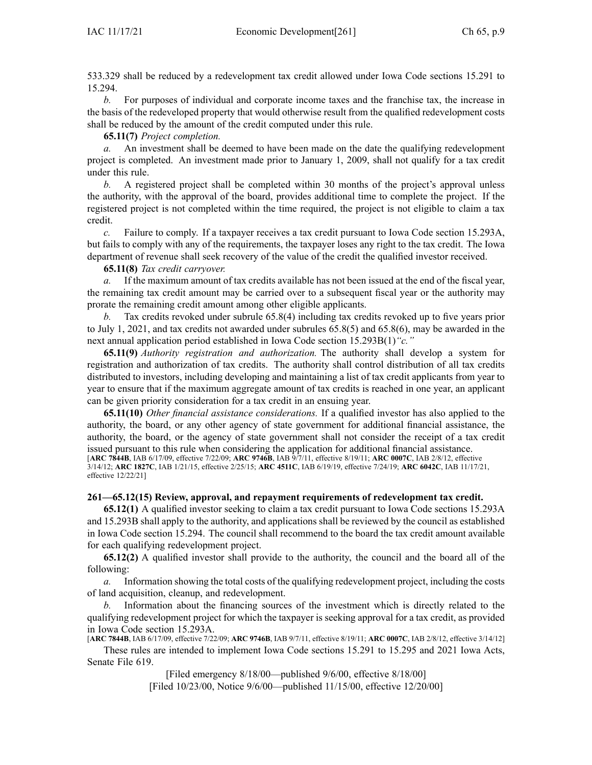[533.329](https://www.legis.iowa.gov/docs/ico/section/533.329.pdf) shall be reduced by <sup>a</sup> redevelopment tax credit allowed under Iowa Code sections [15.291](https://www.legis.iowa.gov/docs/ico/section/15.291-294.pdf) to [15.294](https://www.legis.iowa.gov/docs/ico/section/15.291-294.pdf).

*b.* For purposes of individual and corporate income taxes and the franchise tax, the increase in the basis of the redeveloped property that would otherwise result from the qualified redevelopment costs shall be reduced by the amount of the credit computed under this rule.

## **65.11(7)** *Project completion.*

*a.* An investment shall be deemed to have been made on the date the qualifying redevelopment project is completed. An investment made prior to January 1, 2009, shall not qualify for <sup>a</sup> tax credit under this rule.

*b.* A registered project shall be completed within 30 months of the project's approval unless the authority, with the approval of the board, provides additional time to complete the project. If the registered project is not completed within the time required, the project is not eligible to claim <sup>a</sup> tax credit.

*c.* Failure to comply. If <sup>a</sup> taxpayer receives <sup>a</sup> tax credit pursuan<sup>t</sup> to Iowa Code section [15.293A](https://www.legis.iowa.gov/docs/ico/section/15.293A.pdf), but fails to comply with any of the requirements, the taxpayer loses any right to the tax credit. The Iowa department of revenue shall seek recovery of the value of the credit the qualified investor received.

**65.11(8)** *Tax credit carryover.*

*a.* If the maximum amount of tax credits available has not been issued at the end of the fiscal year, the remaining tax credit amount may be carried over to <sup>a</sup> subsequent fiscal year or the authority may prorate the remaining credit amount among other eligible applicants.

*b.* Tax credits revoked under subrule [65.8\(4\)](https://www.legis.iowa.gov/docs/iac/rule/261.65.8.pdf) including tax credits revoked up to five years prior to July 1, 2021, and tax credits not awarded under subrules [65.8\(5\)](https://www.legis.iowa.gov/docs/iac/rule/261.65.8.pdf) and [65.8\(6\)](https://www.legis.iowa.gov/docs/iac/rule/261.65.8.pdf), may be awarded in the next annual application period established in Iowa Code section [15.293B\(1\)](https://www.legis.iowa.gov/docs/ico/section/15.293B.pdf)*"c."*

**65.11(9)** *Authority registration and authorization.* The authority shall develop <sup>a</sup> system for registration and authorization of tax credits. The authority shall control distribution of all tax credits distributed to investors, including developing and maintaining <sup>a</sup> list of tax credit applicants from year to year to ensure that if the maximum aggregate amount of tax credits is reached in one year, an applicant can be given priority consideration for <sup>a</sup> tax credit in an ensuing year.

**65.11(10)** *Other financial assistance considerations.* If <sup>a</sup> qualified investor has also applied to the authority, the board, or any other agency of state governmen<sup>t</sup> for additional financial assistance, the authority, the board, or the agency of state governmen<sup>t</sup> shall not consider the receipt of <sup>a</sup> tax credit issued pursuan<sup>t</sup> to this rule when considering the application for additional financial assistance. [**ARC [7844B](https://www.legis.iowa.gov/docs/aco/arc/7844B.pdf)**, IAB 6/17/09, effective 7/22/09; **ARC [9746B](https://www.legis.iowa.gov/docs/aco/arc/9746B.pdf)**, IAB 9/7/11, effective 8/19/11; **ARC [0007C](https://www.legis.iowa.gov/docs/aco/arc/0007C.pdf)**, IAB 2/8/12, effective 3/14/12; **ARC [1827C](https://www.legis.iowa.gov/docs/aco/arc/1827C.pdf)**, IAB 1/21/15, effective 2/25/15; **ARC [4511C](https://www.legis.iowa.gov/docs/aco/arc/4511C.pdf)**, IAB 6/19/19, effective 7/24/19; **ARC [6042C](https://www.legis.iowa.gov/docs/aco/arc/6042C.pdf)**, IAB 11/17/21, effective 12/22/21]

## **261—65.12(15) Review, approval, and repayment requirements of redevelopment tax credit.**

**65.12(1)** A qualified investor seeking to claim <sup>a</sup> tax credit pursuan<sup>t</sup> to Iowa Code sections [15.293A](https://www.legis.iowa.gov/docs/ico/section/15.293A.pdf) and [15.293B](https://www.legis.iowa.gov/docs/ico/section/15.293B.pdf) shall apply to the authority, and applications shall be reviewed by the council as established in Iowa Code section [15.294](https://www.legis.iowa.gov/docs/ico/section/15.294.pdf). The council shall recommend to the board the tax credit amount available for each qualifying redevelopment project.

**65.12(2)** A qualified investor shall provide to the authority, the council and the board all of the following:

*a.* Information showing the total costs of the qualifying redevelopment project, including the costs of land acquisition, cleanup, and redevelopment.

*b.* Information about the financing sources of the investment which is directly related to the qualifying redevelopment project for which the taxpayer is seeking approval for <sup>a</sup> tax credit, as provided in Iowa Code section [15.293A](https://www.legis.iowa.gov/docs/ico/section/15.293A.pdf).

[**ARC [7844B](https://www.legis.iowa.gov/docs/aco/arc/7844B.pdf)**, IAB 6/17/09, effective 7/22/09; **ARC [9746B](https://www.legis.iowa.gov/docs/aco/arc/9746B.pdf)**, IAB 9/7/11, effective 8/19/11; **ARC [0007C](https://www.legis.iowa.gov/docs/aco/arc/0007C.pdf)**, IAB 2/8/12, effective 3/14/12] These rules are intended to implement Iowa Code sections 15.291 to [15.295](https://www.legis.iowa.gov/docs/ico/section/2011/15.291-295.pdf) and 2021 Iowa Acts,

Senate File 619.

[Filed emergency 8/18/00—published 9/6/00, effective 8/18/00] [Filed 10/23/00, Notice 9/6/00—published 11/15/00, effective 12/20/00]